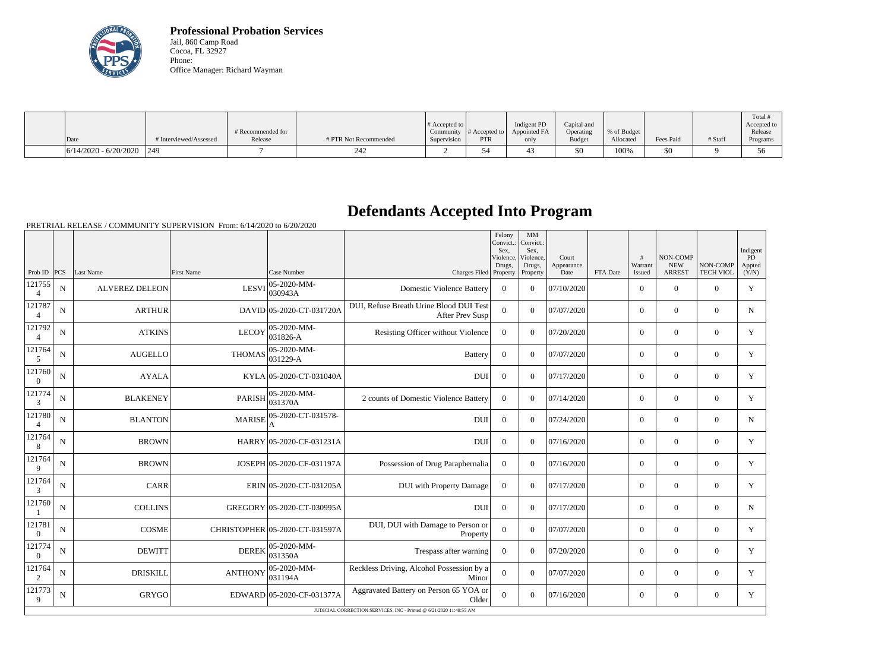

**Professional Probation Services** Jail, 860 Camp Road Cocoa, FL 32927 Phone: Office Manager: Richard Wayman

|                             |                        |                   |                       |                       |               |              |               |             |           |         | Total #                 |
|-----------------------------|------------------------|-------------------|-----------------------|-----------------------|---------------|--------------|---------------|-------------|-----------|---------|-------------------------|
|                             |                        |                   |                       | # Accepted to $\vert$ |               | Indigent PD  | Capital and   |             |           |         | Accepted to             |
|                             |                        | # Recommended for |                       | Community             | # Accepted to | Appointed FA | Operating     | % of Budget |           |         | Release                 |
| Date                        | # Interviewed/Assessed | Release           | # PTR Not Recommended | Supervision           | <b>PTR</b>    | only         | <b>Budget</b> | Allocated   | Fees Paid | # Staff | Programs                |
| $6/14/2020 - 6/20/2020$ 249 |                        |                   | 24 Z                  |                       |               |              | \$0           | 100%        | \$0       |         | $\sim$ $\sim$<br>$\sim$ |

## **Defendants Accepted Into Program**

PRETRIAL RELEASE / COMMUNITY SUPERVISION From: 6/14/2020 to 6/20/2020

|                          |             |                       |                   |                                 |                                                                     | Felony<br>Convict.:<br>Sex.<br>Violence, | MM<br>Convict.:<br>Sex.<br>Violence, | Court              |          | #                 | <b>NON-COMP</b>             |                              | Indigent<br><b>PD</b> |
|--------------------------|-------------|-----------------------|-------------------|---------------------------------|---------------------------------------------------------------------|------------------------------------------|--------------------------------------|--------------------|----------|-------------------|-----------------------------|------------------------------|-----------------------|
| Prob ID PCS              |             | Last Name             | <b>First Name</b> | Case Number                     | Charges Filed Property                                              | Drugs,                                   | Drugs,<br>Property                   | Appearance<br>Date | FTA Date | Warrant<br>Issued | <b>NEW</b><br><b>ARREST</b> | NON-COMP<br><b>TECH VIOL</b> | Appted<br>(Y/N)       |
| 121755<br>4              | N           | <b>ALVEREZ DELEON</b> | <b>LESVI</b>      | 05-2020-MM-<br>030943A          | <b>Domestic Violence Battery</b>                                    | $\theta$                                 | $\theta$                             | 07/10/2020         |          | $\Omega$          | $\theta$                    | $\Omega$                     | Y                     |
| 121787<br>$\overline{4}$ | N           | <b>ARTHUR</b>         |                   | DAVID 05-2020-CT-031720A        | DUI, Refuse Breath Urine Blood DUI Test<br>After Prev Susp          | $\theta$                                 | $\Omega$                             | 07/07/2020         |          | $\overline{0}$    | $\overline{0}$              | $\overline{0}$               | N                     |
| 121792<br>$\overline{4}$ | N           | <b>ATKINS</b>         | <b>LECOY</b>      | 05-2020-MM-<br>031826-A         | Resisting Officer without Violence                                  | $\theta$                                 | $\Omega$                             | 07/20/2020         |          | $\Omega$          | $\theta$                    | $\Omega$                     | Y                     |
| 121764<br>5              | N           | AUGELLO               | THOMAS            | 05-2020-MM-<br>$ 031229-A$      | <b>Battery</b>                                                      | $\overline{0}$                           | $\Omega$                             | 07/07/2020         |          | $\overline{0}$    | $\theta$                    | $\overline{0}$               | Y                     |
| 121760<br>$\overline{0}$ | N           | <b>AYALA</b>          |                   | KYLA 05-2020-CT-031040A         | <b>DU</b>                                                           | $\overline{0}$                           | $\theta$                             | 07/17/2020         |          | $\overline{0}$    | $\mathbf{0}$                | $\overline{0}$               | Y                     |
| 121774<br>3              | N           | <b>BLAKENEY</b>       | PARISH            | 05-2020-MM-<br>031370A          | 2 counts of Domestic Violence Battery                               | $\Omega$                                 | $\Omega$                             | 07/14/2020         |          | $\overline{0}$    | $\theta$                    | $\overline{0}$               | Y                     |
| 121780<br>$\overline{4}$ | N           | <b>BLANTON</b>        | <b>MARISE</b>     | 05-2020-CT-031578-              | <b>DUI</b>                                                          | $\Omega$                                 | $\Omega$                             | 07/24/2020         |          | $\overline{0}$    | $\theta$                    | $\Omega$                     | $\mathbf N$           |
| 121764<br>8              | N           | <b>BROWN</b>          |                   | HARRY 05-2020-CF-031231A        | <b>DUI</b>                                                          | $\overline{0}$                           | $\Omega$                             | 07/16/2020         |          | $\overline{0}$    | $\theta$                    | $\overline{0}$               | Y                     |
| 121764<br>9              | N           | <b>BROWN</b>          |                   | JOSEPH 05-2020-CF-031197A       | Possession of Drug Paraphernalia                                    | $\theta$                                 | $\Omega$                             | 07/16/2020         |          | $\overline{0}$    | $\overline{0}$              | $\Omega$                     | Y                     |
| 121764<br>3              | N           | <b>CARR</b>           |                   | ERIN 05-2020-CT-031205A         | <b>DUI</b> with Property Damage                                     | $\Omega$                                 | $\Omega$                             | 07/17/2020         |          | $\overline{0}$    | $\theta$                    | $\overline{0}$               | Y                     |
| 121760                   | N           | <b>COLLINS</b>        |                   | GREGORY 05-2020-CT-030995A      | <b>DUI</b>                                                          | $\overline{0}$                           | $\Omega$                             | 07/17/2020         |          | $\overline{0}$    | $\boldsymbol{0}$            | $\overline{0}$               | $\mathbf N$           |
| 121781<br>$\overline{0}$ | $\mathbf N$ | <b>COSME</b>          |                   | CHRISTOPHER 05-2020-CT-031597A  | DUI, DUI with Damage to Person or<br>Property                       | $\Omega$                                 | $\Omega$                             | 07/07/2020         |          | $\overline{0}$    | $\boldsymbol{0}$            | $\overline{0}$               | Y                     |
| 121774<br>$\Omega$       | N           | <b>DEWITT</b>         | <b>DEREK</b>      | 05-2020-MM-<br>031350A          | Trespass after warning                                              | $\overline{0}$                           | $\theta$                             | 07/20/2020         |          | $\overline{0}$    | $\theta$                    | $\Omega$                     | Y                     |
| 121764<br>2              | N           | <b>DRISKILL</b>       | <b>ANTHONY</b>    | $ 05 - 2020 - MM -$<br> 031194A | Reckless Driving, Alcohol Possession by a<br>Minor                  | $\overline{0}$                           | $\Omega$                             | 07/07/2020         |          | $\overline{0}$    | $\theta$                    | $\overline{0}$               | Y                     |
| 121773<br>9              | $\mathbf N$ | GRYGO                 |                   | EDWARD 05-2020-CF-031377A       | Aggravated Battery on Person 65 YOA or<br>Older                     | $\overline{0}$                           | $\Omega$                             | 07/16/2020         |          | $\overline{0}$    | $\boldsymbol{0}$            | $\overline{0}$               | Y                     |
|                          |             |                       |                   |                                 | JUDICIAL CORRECTION SERVICES, INC - Printed @ 6/21/2020 11:48:55 AM |                                          |                                      |                    |          |                   |                             |                              |                       |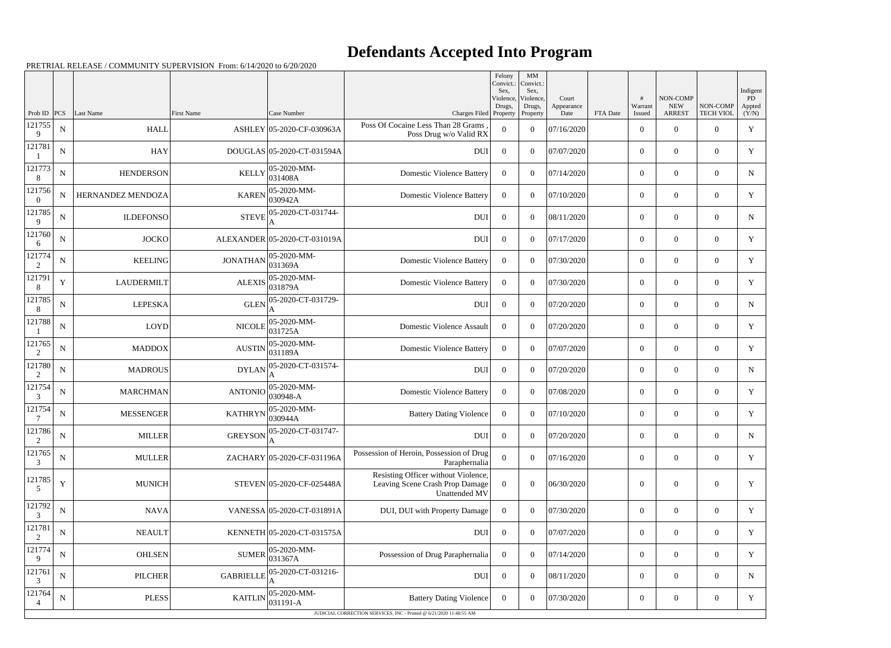## **Defendants Accepted Into Program**

PRETRIAL RELEASE / COMMUNITY SUPERVISION From: 6/14/2020 to 6/20/2020

|                          |             |                   |                   |                                                            |                                                                                         | Felony<br>Convict.:<br>Sex, | MM<br>Convict.:<br>Sex,         |                             |          |                   |                                         |                              | Indigent              |
|--------------------------|-------------|-------------------|-------------------|------------------------------------------------------------|-----------------------------------------------------------------------------------------|-----------------------------|---------------------------------|-----------------------------|----------|-------------------|-----------------------------------------|------------------------------|-----------------------|
| Prob ID $ PCS $          |             | Last Name         | <b>First Name</b> | Case Number                                                | Charges Filed Property                                                                  | Violence,<br>Drugs,         | Violence,<br>Drugs,<br>Property | Court<br>Appearance<br>Date | FTA Date | Warrant<br>Issued | NON-COMP<br><b>NEW</b><br><b>ARREST</b> | NON-COMP<br><b>TECH VIOL</b> | PD<br>Appted<br>(Y/N) |
| 121755<br>9              | ${\bf N}$   | <b>HALL</b>       |                   | ASHLEY 05-2020-CF-030963A                                  | Poss Of Cocaine Less Than 28 Grams<br>Poss Drug w/o Valid RX                            | $\Omega$                    | $\overline{0}$                  | 07/16/2020                  |          | $\overline{0}$    | $\overline{0}$                          | $\Omega$                     | $\mathbf Y$           |
| 121781                   | ${\bf N}$   | <b>HAY</b>        |                   | DOUGLAS 05-2020-CT-031594A                                 | <b>DUI</b>                                                                              | $\Omega$                    | $\theta$                        | 07/07/2020                  |          | $\overline{0}$    | $\overline{0}$                          | $\overline{0}$               | Y                     |
| 121773<br>8              | ${\bf N}$   | <b>HENDERSON</b>  | <b>KELLY</b>      | 05-2020-MM-<br>031408A                                     | <b>Domestic Violence Battery</b>                                                        | $\Omega$                    | $\theta$                        | 07/14/2020                  |          | $\overline{0}$    | $\overline{0}$                          | $\Omega$                     | N                     |
| 121756<br>$\theta$       | N           | HERNANDEZ MENDOZA | <b>KAREN</b>      | 05-2020-MM-<br>030942A                                     | <b>Domestic Violence Battery</b>                                                        | $\Omega$                    | $\theta$                        | 07/10/2020                  |          | $\overline{0}$    | $\overline{0}$                          | $\overline{0}$               | Y                     |
| 121785<br>9              | ${\bf N}$   | <b>ILDEFONSO</b>  | <b>STEVE</b>      | 05-2020-CT-031744-                                         | <b>DUI</b>                                                                              | $\overline{0}$              | $\theta$                        | 08/11/2020                  |          | $\overline{0}$    | $\overline{0}$                          | $\Omega$                     | N                     |
| 121760<br>6              | ${\bf N}$   | <b>JOCKO</b>      |                   | ALEXANDER 05-2020-CT-031019A                               | <b>DUI</b>                                                                              | $\Omega$                    | $\theta$                        | 07/17/2020                  |          | $\overline{0}$    | $\overline{0}$                          | $\Omega$                     | Y                     |
| 121774<br>2              | ${\bf N}$   | <b>KEELING</b>    | <b>JONATHAN</b>   | 05-2020-MM-<br>031369A                                     | <b>Domestic Violence Battery</b>                                                        | $\Omega$                    | $\theta$                        | 07/30/2020                  |          | $\overline{0}$    | $\overline{0}$                          | $\Omega$                     | Y                     |
| 121791<br>8              | $\mathbf Y$ | <b>LAUDERMILT</b> | <b>ALEXIS</b>     | 05-2020-MM-<br>031879A                                     | <b>Domestic Violence Battery</b>                                                        | $\Omega$                    | $\theta$                        | 07/30/2020                  |          | $\overline{0}$    | $\overline{0}$                          | $\overline{0}$               | Y                     |
| 121785<br>8              | ${\bf N}$   | <b>LEPESKA</b>    | <b>GLEN</b>       | 05-2020-CT-031729-                                         | <b>DUI</b>                                                                              | $\overline{0}$              | $\theta$                        | 07/20/2020                  |          | $\overline{0}$    | $\overline{0}$                          | $\Omega$                     | N                     |
| 121788                   | ${\bf N}$   | <b>LOYD</b>       | <b>NICOLE</b>     | 05-2020-MM-<br>031725A                                     | Domestic Violence Assault                                                               | $\Omega$                    | $\theta$                        | 07/20/2020                  |          | $\overline{0}$    | $\overline{0}$                          | $\Omega$                     | Y                     |
| 121765<br>2              | ${\bf N}$   | <b>MADDOX</b>     | <b>AUSTIN</b>     | 05-2020-MM-<br>031189A                                     | <b>Domestic Violence Battery</b>                                                        | $\Omega$                    | $\theta$                        | 07/07/2020                  |          | $\overline{0}$    | $\overline{0}$                          | $\Omega$                     | Y                     |
| 121780<br>$\overline{2}$ | ${\bf N}$   | <b>MADROUS</b>    | <b>DYLAN</b>      | 05-2020-CT-031574-                                         | <b>DUI</b>                                                                              | $\Omega$                    | $\theta$                        | 07/20/2020                  |          | $\overline{0}$    | $\overline{0}$                          | $\overline{0}$               | N                     |
| 121754<br>3              | ${\bf N}$   | <b>MARCHMAN</b>   | <b>ANTONIO</b>    | 05-2020-MM-<br>030948-A                                    | <b>Domestic Violence Battery</b>                                                        | $\Omega$                    | $\theta$                        | 07/08/2020                  |          | $\overline{0}$    | $\overline{0}$                          | $\Omega$                     | Y                     |
| 121754                   | $\mathbf N$ | <b>MESSENGER</b>  | <b>KATHRYN</b>    | 05-2020-MM-<br>030944A                                     | <b>Battery Dating Violence</b>                                                          | $\Omega$                    | $\theta$                        | 07/10/2020                  |          | $\overline{0}$    | $\overline{0}$                          | $\overline{0}$               | Y                     |
| 121786<br>$\sqrt{2}$     | ${\bf N}$   | <b>MILLER</b>     |                   | GREYSON $ _{\Lambda}^{05-\overline{2020-CT-031747-}}$<br>A | <b>DUI</b>                                                                              | $\overline{0}$              | $\overline{0}$                  | 07/20/2020                  |          | $\overline{0}$    | $\mathbf{0}$                            | $\overline{0}$               | N                     |
| 121765<br>3              | ${\bf N}$   | <b>MULLER</b>     |                   | ZACHARY 05-2020-CF-031196A                                 | Possession of Heroin, Possession of Drug<br>Paraphernalia                               | $\overline{0}$              | $\boldsymbol{0}$                | 07/16/2020                  |          | $\boldsymbol{0}$  | $\boldsymbol{0}$                        | $\overline{0}$               | Y                     |
| 121785<br>5              | $\mathbf Y$ | <b>MUNICH</b>     |                   | STEVEN 05-2020-CF-025448A                                  | Resisting Officer without Violence,<br>Leaving Scene Crash Prop Damage<br>Unattended MV | $\overline{0}$              | $\boldsymbol{0}$                | 06/30/2020                  |          | $\mathbf{0}$      | $\boldsymbol{0}$                        | $\overline{0}$               | Y                     |
| 121792<br>3              | ${\bf N}$   | <b>NAVA</b>       |                   | VANESSA 05-2020-CT-031891A                                 | DUI, DUI with Property Damage                                                           | $\overline{0}$              | $\boldsymbol{0}$                | 07/30/2020                  |          | $\boldsymbol{0}$  | $\overline{0}$                          | $\overline{0}$               | Y                     |
| 121781<br>$\overline{2}$ | ${\bf N}$   | <b>NEAULT</b>     |                   | KENNETH 05-2020-CT-031575A                                 | <b>DUI</b>                                                                              | $\mathbf{0}$                | $\boldsymbol{0}$                | 07/07/2020                  |          | $\boldsymbol{0}$  | $\overline{0}$                          | $\overline{0}$               | Y                     |
| 121774<br>9              | ${\bf N}$   | <b>OHLSEN</b>     | <b>SUMER</b>      | 05-2020-MM-<br>031367A                                     | Possession of Drug Paraphernalia                                                        | $\overline{0}$              | $\boldsymbol{0}$                | 07/14/2020                  |          | $\boldsymbol{0}$  | $\overline{0}$                          | $\overline{0}$               | Y                     |
| 121761<br>3              | ${\bf N}$   | <b>PILCHER</b>    | <b>GABRIELLE</b>  | 05-2020-CT-031216-                                         | <b>DUI</b>                                                                              | $\mathbf{0}$                | $\boldsymbol{0}$                | 08/11/2020                  |          | $\boldsymbol{0}$  | $\boldsymbol{0}$                        | $\overline{0}$               | N                     |
| 121764                   | ${\bf N}$   | <b>PLESS</b>      | <b>KAITLIN</b>    | 05-2020-MM-<br>031191-A                                    | <b>Battery Dating Violence</b>                                                          | $\overline{0}$              | $\boldsymbol{0}$                | 07/30/2020                  |          | $\boldsymbol{0}$  | $\boldsymbol{0}$                        | $\boldsymbol{0}$             | Y                     |
|                          |             |                   |                   |                                                            | JUDICIAL CORRECTION SERVICES, INC - Printed @ 6/21/2020 11:48:55 AM                     |                             |                                 |                             |          |                   |                                         |                              |                       |